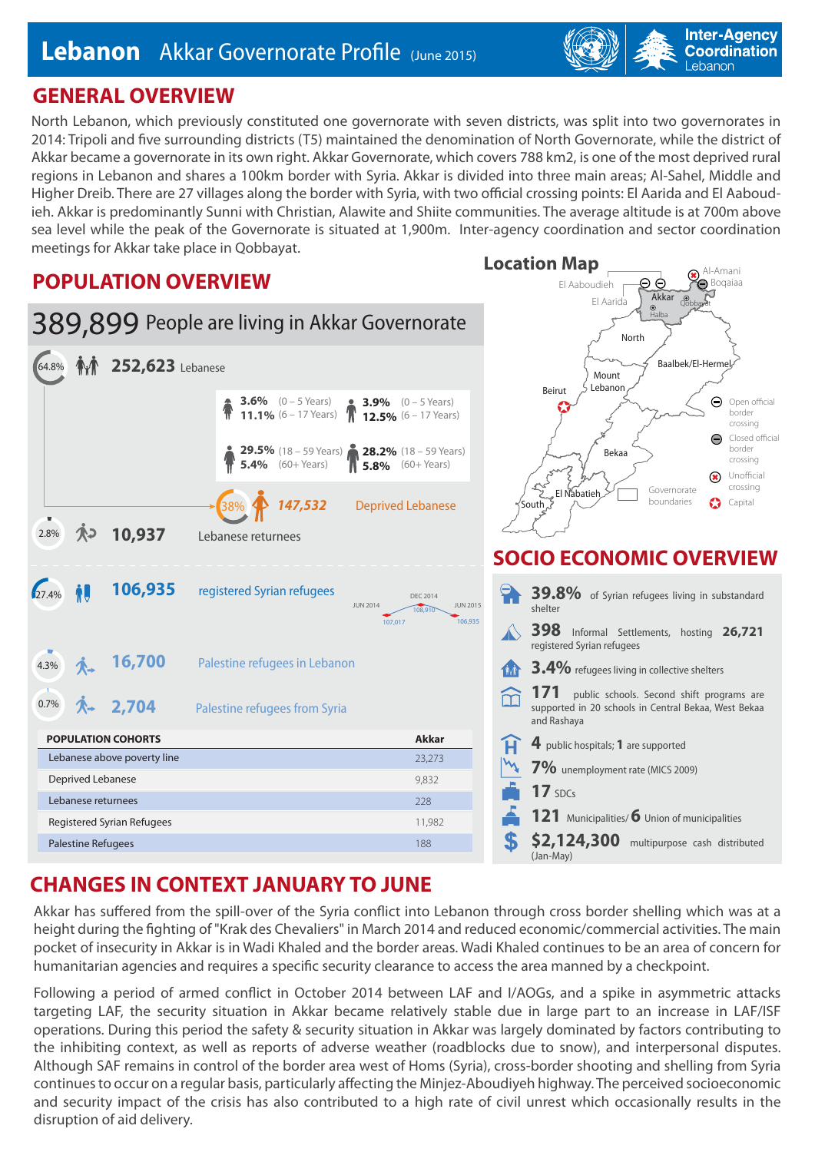

North Lebanon, which previously constituted one governorate with seven districts, was split into two governorates in 2014: Tripoli and five surrounding districts (T5) maintained the denomination of North Governorate, while the district of Akkar became a governorate in its own right. Akkar Governorate, which covers 788 km2, is one of the most deprived rural regions in Lebanon and shares a 100km border with Syria. Akkar is divided into three main areas; Al-Sahel, Middle and Higher Dreib. There are 27 villages along the border with Syria, with two official crossing points: El Aarida and El Aaboudieh. Akkar is predominantly Sunni with Christian, Alawite and Shiite communities. The average altitude is at 700m above sea level while the peak of the Governorate is situated at 1,900m. Inter-agency coordination and sector coordination meetings for Akkar take place in Qobbayat. **Location Map**

El Aaboudieh

Al-Amani **Boqaiaa** 

 $\circledast$ 

ΘΘ

**Inter-Agency Coordination** Lebanon

### **POPULATION OVERVIEW**



# **CHANGES IN CONTEXT JANUARY TO JUNE**

Akkar has suffered from the spill-over of the Syria conflict into Lebanon through cross border shelling which was at a height during the fighting of "Krak des Chevaliers" in March 2014 and reduced economic/commercial activities. The main pocket of insecurity in Akkar is in Wadi Khaled and the border areas. Wadi Khaled continues to be an area of concern for humanitarian agencies and requires a specific security clearance to access the area manned by a checkpoint.

Following a period of armed conflict in October 2014 between LAF and I/AOGs, and a spike in asymmetric attacks targeting LAF, the security situation in Akkar became relatively stable due in large part to an increase in LAF/ISF operations. During this period the safety & security situation in Akkar was largely dominated by factors contributing to the inhibiting context, as well as reports of adverse weather (roadblocks due to snow), and interpersonal disputes. Although SAF remains in control of the border area west of Homs (Syria), cross-border shooting and shelling from Syria continues to occur on a regular basis, particularly affecting the Minjez-Aboudiyeh highway. The perceived socioeconomic and security impact of the crisis has also contributed to a high rate of civil unrest which occasionally results in the disruption of aid delivery.